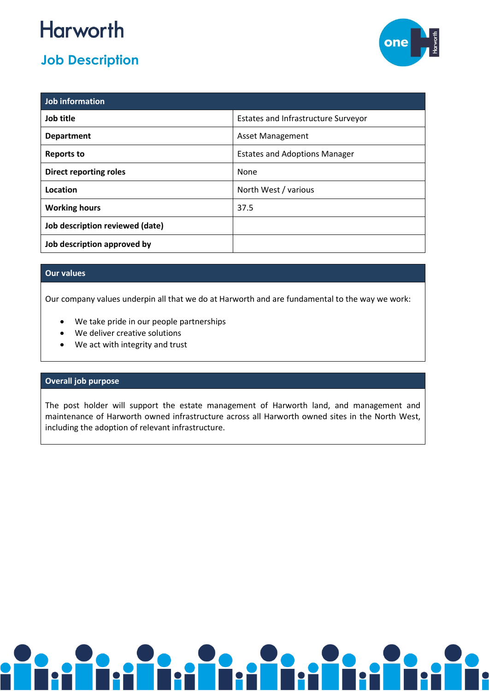# **Harworth**

# **Job Description**



| Job information                 |                                            |
|---------------------------------|--------------------------------------------|
| Job title                       | <b>Estates and Infrastructure Surveyor</b> |
| <b>Department</b>               | <b>Asset Management</b>                    |
| Reports to                      | <b>Estates and Adoptions Manager</b>       |
| <b>Direct reporting roles</b>   | None                                       |
| Location                        | North West / various                       |
| <b>Working hours</b>            | 37.5                                       |
| Job description reviewed (date) |                                            |
| Job description approved by     |                                            |

## **Our values**

Our company values underpin all that we do at Harworth and are fundamental to the way we work:

- We take pride in our people partnerships
- We deliver creative solutions
- We act with integrity and trust

### **Overall job purpose**

The post holder will support the estate management of Harworth land, and management and maintenance of Harworth owned infrastructure across all Harworth owned sites in the North West, including the adoption of relevant infrastructure.

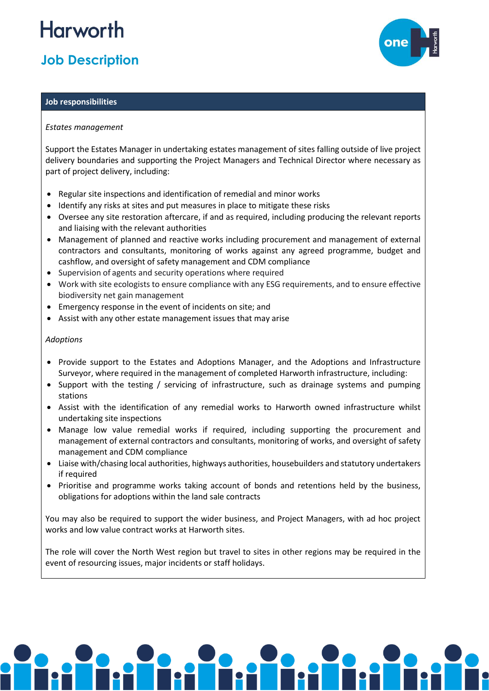# **Harworth**

## **Job Description**

#### **Job responsibilities**

#### *Estates management*

Support the Estates Manager in undertaking estates management of sites falling outside of live project delivery boundaries and supporting the Project Managers and Technical Director where necessary as part of project delivery, including:

- Regular site inspections and identification of remedial and minor works
- Identify any risks at sites and put measures in place to mitigate these risks
- Oversee any site restoration aftercare, if and as required, including producing the relevant reports and liaising with the relevant authorities
- Management of planned and reactive works including procurement and management of external contractors and consultants, monitoring of works against any agreed programme, budget and cashflow, and oversight of safety management and CDM compliance
- Supervision of agents and security operations where required
- Work with site ecologists to ensure compliance with any ESG requirements, and to ensure effective biodiversity net gain management
- Emergency response in the event of incidents on site; and
- Assist with any other estate management issues that may arise

#### *Adoptions*

- Provide support to the Estates and Adoptions Manager, and the Adoptions and Infrastructure Surveyor, where required in the management of completed Harworth infrastructure, including:
- Support with the testing / servicing of infrastructure, such as drainage systems and pumping stations
- Assist with the identification of any remedial works to Harworth owned infrastructure whilst undertaking site inspections
- Manage low value remedial works if required, including supporting the procurement and management of external contractors and consultants, monitoring of works, and oversight of safety management and CDM compliance
- Liaise with/chasing local authorities, highways authorities, housebuilders and statutory undertakers if required
- Prioritise and programme works taking account of bonds and retentions held by the business, obligations for adoptions within the land sale contracts

You may also be required to support the wider business, and Project Managers, with ad hoc project works and low value contract works at Harworth sites.

The role will cover the North West region but travel to sites in other regions may be required in the event of resourcing issues, major incidents or staff holidays.